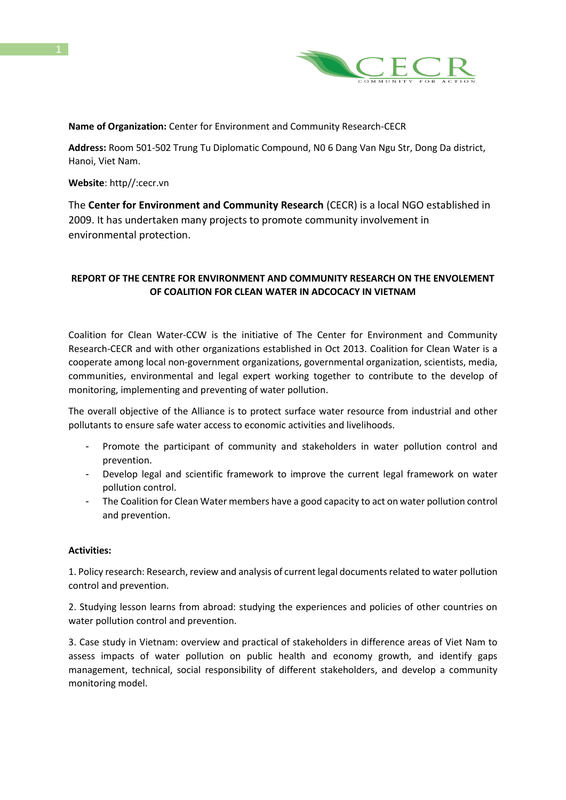

## **Name of Organization:** Center for Environment and Community Research-CECR

**Address:** Room 501-502 Trung Tu Diplomatic Compound, N0 6 Dang Van Ngu Str, Dong Da district, Hanoi, Viet Nam.

**Website**: http//:cecr.vn

1

The **Center for Environment and Community Research** (CECR) is a local NGO established in 2009. It has undertaken many projects to promote community involvement in environmental protection.

# **REPORT OF THE CENTRE FOR ENVIRONMENT AND COMMUNITY RESEARCH ON THE ENVOLEMENT OF COALITION FOR CLEAN WATER IN ADCOCACY IN VIETNAM**

Coalition for Clean Water-CCW is the initiative of The Center for Environment and Community Research-CECR and with other organizations established in Oct 2013. Coalition for Clean Water is a cooperate among local non-government organizations, governmental organization, scientists, media, communities, environmental and legal expert working together to contribute to the develop of monitoring, implementing and preventing of water pollution.

The overall objective of the Alliance is to protect surface water resource from industrial and other pollutants to ensure safe water access to economic activities and livelihoods.

- Promote the participant of community and stakeholders in water pollution control and prevention.
- Develop legal and scientific framework to improve the current legal framework on water pollution control.
- The Coalition for Clean Water members have a good capacity to act on water pollution control and prevention.

### **Activities:**

1. Policy research: Research, review and analysis of current legal documents related to water pollution control and prevention.

2. Studying lesson learns from abroad: studying the experiences and policies of other countries on water pollution control and prevention.

3. Case study in Vietnam: overview and practical of stakeholders in difference areas of Viet Nam to assess impacts of water pollution on public health and economy growth, and identify gaps management, technical, social responsibility of different stakeholders, and develop a community monitoring model.